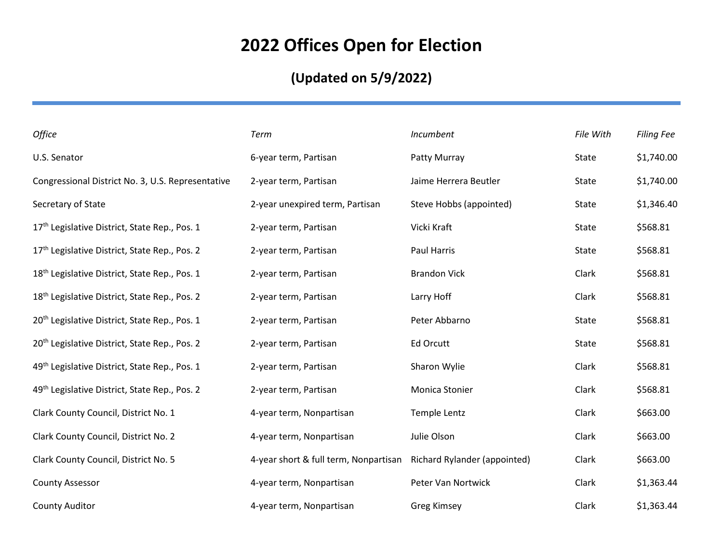## **2022 Offices Open for Election**

## **(Updated on 5/9/2022)**

| Office                                                    | Term                                  | Incumbent                    | File With | <b>Filing Fee</b> |
|-----------------------------------------------------------|---------------------------------------|------------------------------|-----------|-------------------|
| U.S. Senator                                              | 6-year term, Partisan                 | Patty Murray                 | State     | \$1,740.00        |
| Congressional District No. 3, U.S. Representative         | 2-year term, Partisan                 | Jaime Herrera Beutler        | State     | \$1,740.00        |
| Secretary of State                                        | 2-year unexpired term, Partisan       | Steve Hobbs (appointed)      | State     | \$1,346.40        |
| 17 <sup>th</sup> Legislative District, State Rep., Pos. 1 | 2-year term, Partisan                 | Vicki Kraft                  | State     | \$568.81          |
| 17th Legislative District, State Rep., Pos. 2             | 2-year term, Partisan                 | <b>Paul Harris</b>           | State     | \$568.81          |
| 18 <sup>th</sup> Legislative District, State Rep., Pos. 1 | 2-year term, Partisan                 | <b>Brandon Vick</b>          | Clark     | \$568.81          |
| 18 <sup>th</sup> Legislative District, State Rep., Pos. 2 | 2-year term, Partisan                 | Larry Hoff                   | Clark     | \$568.81          |
| 20 <sup>th</sup> Legislative District, State Rep., Pos. 1 | 2-year term, Partisan                 | Peter Abbarno                | State     | \$568.81          |
| 20 <sup>th</sup> Legislative District, State Rep., Pos. 2 | 2-year term, Partisan                 | <b>Ed Orcutt</b>             | State     | \$568.81          |
| 49 <sup>th</sup> Legislative District, State Rep., Pos. 1 | 2-year term, Partisan                 | Sharon Wylie                 | Clark     | \$568.81          |
| 49th Legislative District, State Rep., Pos. 2             | 2-year term, Partisan                 | Monica Stonier               | Clark     | \$568.81          |
| Clark County Council, District No. 1                      | 4-year term, Nonpartisan              | Temple Lentz                 | Clark     | \$663.00          |
| Clark County Council, District No. 2                      | 4-year term, Nonpartisan              | Julie Olson                  | Clark     | \$663.00          |
| Clark County Council, District No. 5                      | 4-year short & full term, Nonpartisan | Richard Rylander (appointed) | Clark     | \$663.00          |
| <b>County Assessor</b>                                    | 4-year term, Nonpartisan              | Peter Van Nortwick           | Clark     | \$1,363.44        |
| <b>County Auditor</b>                                     | 4-year term, Nonpartisan              | <b>Greg Kimsey</b>           | Clark     | \$1,363.44        |